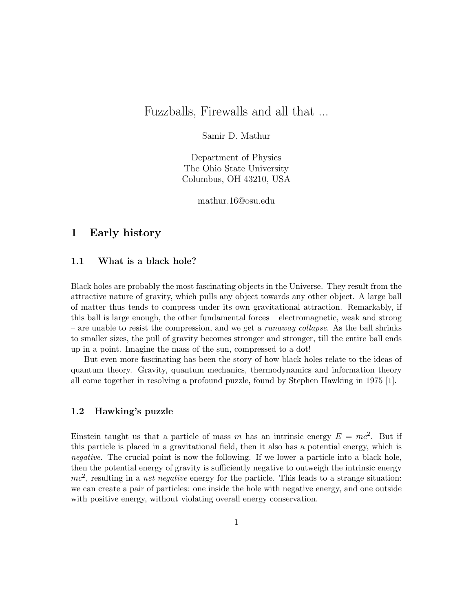# Fuzzballs, Firewalls and all that ...

## Samir D. Mathur

Department of Physics The Ohio State University Columbus, OH 43210, USA

mathur.16@osu.edu

# 1 Early history

### 1.1 What is a black hole?

Black holes are probably the most fascinating objects in the Universe. They result from the attractive nature of gravity, which pulls any object towards any other object. A large ball of matter thus tends to compress under its own gravitational attraction. Remarkably, if this ball is large enough, the other fundamental forces – electromagnetic, weak and strong – are unable to resist the compression, and we get a *runaway collapse*. As the ball shrinks to smaller sizes, the pull of gravity becomes stronger and stronger, till the entire ball ends up in a point. Imagine the mass of the sun, compressed to a dot!

But even more fascinating has been the story of how black holes relate to the ideas of quantum theory. Gravity, quantum mechanics, thermodynamics and information theory all come together in resolving a profound puzzle, found by Stephen Hawking in 1975 [1].

### 1.2 Hawking's puzzle

Einstein taught us that a particle of mass m has an intrinsic energy  $E = mc^2$ . But if this particle is placed in a gravitational field, then it also has a potential energy, which is negative. The crucial point is now the following. If we lower a particle into a black hole, then the potential energy of gravity is sufficiently negative to outweigh the intrinsic energy  $mc<sup>2</sup>$ , resulting in a *net negative* energy for the particle. This leads to a strange situation: we can create a pair of particles: one inside the hole with negative energy, and one outside with positive energy, without violating overall energy conservation.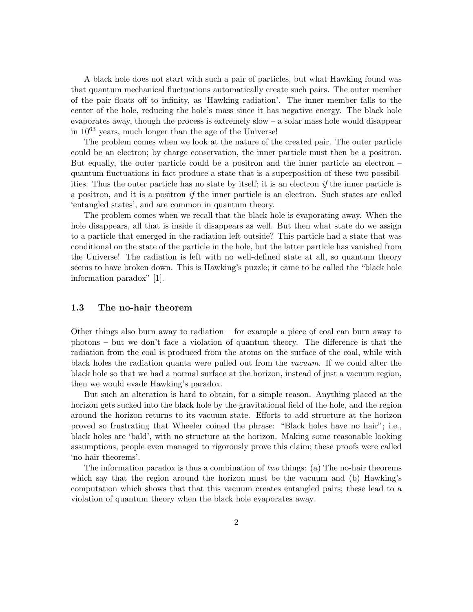A black hole does not start with such a pair of particles, but what Hawking found was that quantum mechanical fluctuations automatically create such pairs. The outer member of the pair floats off to infinity, as 'Hawking radiation'. The inner member falls to the center of the hole, reducing the hole's mass since it has negative energy. The black hole evaporates away, though the process is extremely slow – a solar mass hole would disappear in 10<sup>63</sup> years, much longer than the age of the Universe!

The problem comes when we look at the nature of the created pair. The outer particle could be an electron; by charge conservation, the inner particle must then be a positron. But equally, the outer particle could be a positron and the inner particle an electron – quantum fluctuations in fact produce a state that is a superposition of these two possibilities. Thus the outer particle has no state by itself; it is an electron if the inner particle is a positron, and it is a positron if the inner particle is an electron. Such states are called 'entangled states', and are common in quantum theory.

The problem comes when we recall that the black hole is evaporating away. When the hole disappears, all that is inside it disappears as well. But then what state do we assign to a particle that emerged in the radiation left outside? This particle had a state that was conditional on the state of the particle in the hole, but the latter particle has vanished from the Universe! The radiation is left with no well-defined state at all, so quantum theory seems to have broken down. This is Hawking's puzzle; it came to be called the "black hole information paradox" [1].

### 1.3 The no-hair theorem

Other things also burn away to radiation – for example a piece of coal can burn away to photons – but we don't face a violation of quantum theory. The difference is that the radiation from the coal is produced from the atoms on the surface of the coal, while with black holes the radiation quanta were pulled out from the vacuum. If we could alter the black hole so that we had a normal surface at the horizon, instead of just a vacuum region, then we would evade Hawking's paradox.

But such an alteration is hard to obtain, for a simple reason. Anything placed at the horizon gets sucked into the black hole by the gravitational field of the hole, and the region around the horizon returns to its vacuum state. Efforts to add structure at the horizon proved so frustrating that Wheeler coined the phrase: "Black holes have no hair"; i.e., black holes are 'bald', with no structure at the horizon. Making some reasonable looking assumptions, people even managed to rigorously prove this claim; these proofs were called 'no-hair theorems'.

The information paradox is thus a combination of two things: (a) The no-hair theorems which say that the region around the horizon must be the vacuum and (b) Hawking's computation which shows that that this vacuum creates entangled pairs; these lead to a violation of quantum theory when the black hole evaporates away.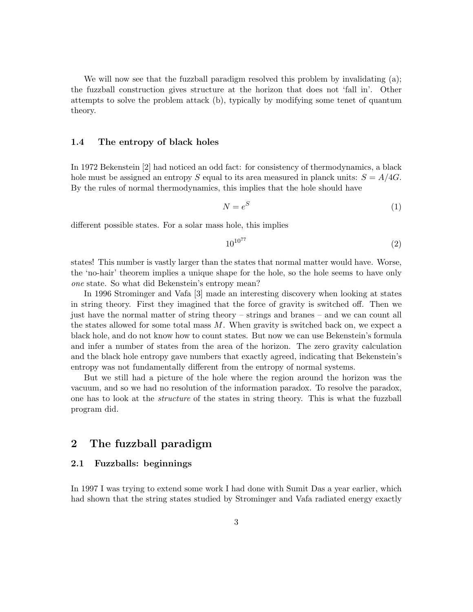We will now see that the fuzzball paradigm resolved this problem by invalidating (a); the fuzzball construction gives structure at the horizon that does not 'fall in'. Other attempts to solve the problem attack (b), typically by modifying some tenet of quantum theory.

#### 1.4 The entropy of black holes

In 1972 Bekenstein [2] had noticed an odd fact: for consistency of thermodynamics, a black hole must be assigned an entropy S equal to its area measured in planck units:  $S = A/4G$ . By the rules of normal thermodynamics, this implies that the hole should have

$$
N = e^S \tag{1}
$$

different possible states. For a solar mass hole, this implies

$$
10^{10^{77}} \tag{2}
$$

states! This number is vastly larger than the states that normal matter would have. Worse, the 'no-hair' theorem implies a unique shape for the hole, so the hole seems to have only one state. So what did Bekenstein's entropy mean?

In 1996 Strominger and Vafa [3] made an interesting discovery when looking at states in string theory. First they imagined that the force of gravity is switched off. Then we just have the normal matter of string theory – strings and branes – and we can count all the states allowed for some total mass  $M$ . When gravity is switched back on, we expect a black hole, and do not know how to count states. But now we can use Bekenstein's formula and infer a number of states from the area of the horizon. The zero gravity calculation and the black hole entropy gave numbers that exactly agreed, indicating that Bekenstein's entropy was not fundamentally different from the entropy of normal systems.

But we still had a picture of the hole where the region around the horizon was the vacuum, and so we had no resolution of the information paradox. To resolve the paradox, one has to look at the structure of the states in string theory. This is what the fuzzball program did.

# 2 The fuzzball paradigm

### 2.1 Fuzzballs: beginnings

In 1997 I was trying to extend some work I had done with Sumit Das a year earlier, which had shown that the string states studied by Strominger and Vafa radiated energy exactly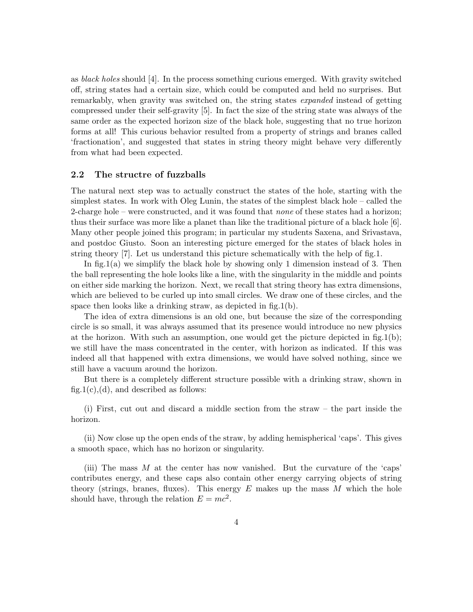as black holes should [4]. In the process something curious emerged. With gravity switched off, string states had a certain size, which could be computed and held no surprises. But remarkably, when gravity was switched on, the string states expanded instead of getting compressed under their self-gravity [5]. In fact the size of the string state was always of the same order as the expected horizon size of the black hole, suggesting that no true horizon forms at all! This curious behavior resulted from a property of strings and branes called 'fractionation', and suggested that states in string theory might behave very differently from what had been expected.

### 2.2 The structre of fuzzballs

The natural next step was to actually construct the states of the hole, starting with the simplest states. In work with Oleg Lunin, the states of the simplest black hole – called the 2-charge hole – were constructed, and it was found that none of these states had a horizon; thus their surface was more like a planet than like the traditional picture of a black hole [6]. Many other people joined this program; in particular my students Saxena, and Srivastava, and postdoc Giusto. Soon an interesting picture emerged for the states of black holes in string theory [7]. Let us understand this picture schematically with the help of fig.1.

In fig.1(a) we simplify the black hole by showing only 1 dimension instead of 3. Then the ball representing the hole looks like a line, with the singularity in the middle and points on either side marking the horizon. Next, we recall that string theory has extra dimensions, which are believed to be curled up into small circles. We draw one of these circles, and the space then looks like a drinking straw, as depicted in fig.1(b).

The idea of extra dimensions is an old one, but because the size of the corresponding circle is so small, it was always assumed that its presence would introduce no new physics at the horizon. With such an assumption, one would get the picture depicted in fig.1(b); we still have the mass concentrated in the center, with horizon as indicated. If this was indeed all that happened with extra dimensions, we would have solved nothing, since we still have a vacuum around the horizon.

But there is a completely different structure possible with a drinking straw, shown in fig.1(c),(d), and described as follows:

(i) First, cut out and discard a middle section from the straw – the part inside the horizon.

(ii) Now close up the open ends of the straw, by adding hemispherical 'caps'. This gives a smooth space, which has no horizon or singularity.

(iii) The mass  $M$  at the center has now vanished. But the curvature of the 'caps' contributes energy, and these caps also contain other energy carrying objects of string theory (strings, branes, fluxes). This energy  $E$  makes up the mass  $M$  which the hole should have, through the relation  $E = mc^2$ .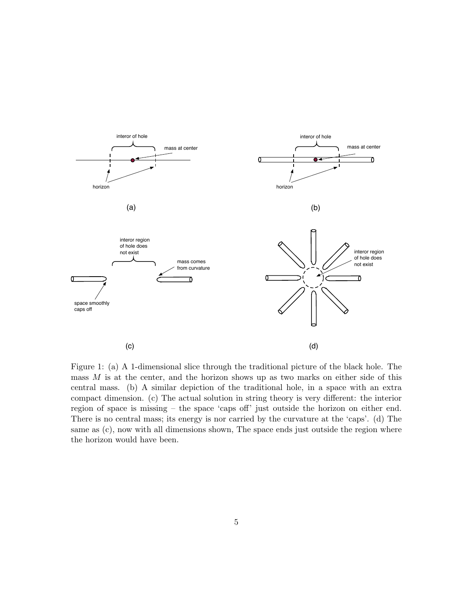

Figure 1: (a) A 1-dimensional slice through the traditional picture of the black hole. The mass  $M$  is at the center, and the horizon shows up as two marks on either side of this central mass. (b) A similar depiction of the traditional hole, in a space with an extra compact dimension. (c) The actual solution in string theory is very different: the interior region of space is missing – the space 'caps off' just outside the horizon on either end. There is no central mass; its energy is nor carried by the curvature at the 'caps'. (d) The same as (c), now with all dimensions shown, The space ends just outside the region where the horizon would have been.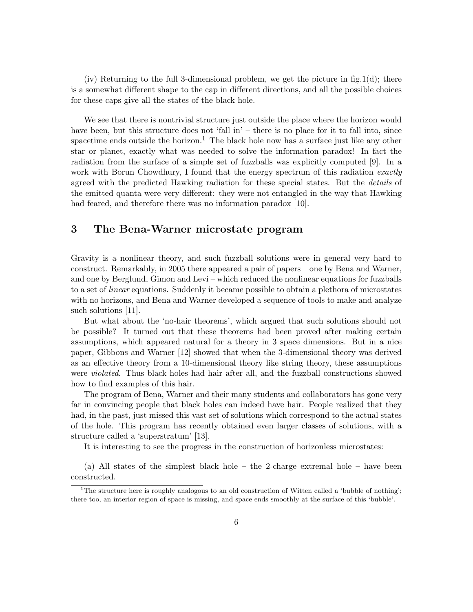(iv) Returning to the full 3-dimensional problem, we get the picture in fig.1(d); there is a somewhat different shape to the cap in different directions, and all the possible choices for these caps give all the states of the black hole.

We see that there is nontrivial structure just outside the place where the horizon would have been, but this structure does not 'fall in' – there is no place for it to fall into, since spacetime ends outside the horizon.<sup>1</sup> The black hole now has a surface just like any other star or planet, exactly what was needed to solve the information paradox! In fact the radiation from the surface of a simple set of fuzzballs was explicitly computed [9]. In a work with Borun Chowdhury, I found that the energy spectrum of this radiation exactly agreed with the predicted Hawking radiation for these special states. But the details of the emitted quanta were very different: they were not entangled in the way that Hawking had feared, and therefore there was no information paradox [10].

# 3 The Bena-Warner microstate program

Gravity is a nonlinear theory, and such fuzzball solutions were in general very hard to construct. Remarkably, in 2005 there appeared a pair of papers – one by Bena and Warner, and one by Berglund, Gimon and Levi – which reduced the nonlinear equations for fuzzballs to a set of linear equations. Suddenly it became possible to obtain a plethora of microstates with no horizons, and Bena and Warner developed a sequence of tools to make and analyze such solutions [11].

But what about the 'no-hair theorems', which argued that such solutions should not be possible? It turned out that these theorems had been proved after making certain assumptions, which appeared natural for a theory in 3 space dimensions. But in a nice paper, Gibbons and Warner [12] showed that when the 3-dimensional theory was derived as an effective theory from a 10-dimensional theory like string theory, these assumptions were violated. Thus black holes had hair after all, and the fuzzball constructions showed how to find examples of this hair.

The program of Bena, Warner and their many students and collaborators has gone very far in convincing people that black holes can indeed have hair. People realized that they had, in the past, just missed this vast set of solutions which correspond to the actual states of the hole. This program has recently obtained even larger classes of solutions, with a structure called a 'superstratum' [13].

It is interesting to see the progress in the construction of horizonless microstates:

(a) All states of the simplest black hole – the 2-charge extremal hole – have been constructed.

<sup>&</sup>lt;sup>1</sup>The structure here is roughly analogous to an old construction of Witten called a 'bubble of nothing'; there too, an interior region of space is missing, and space ends smoothly at the surface of this 'bubble'.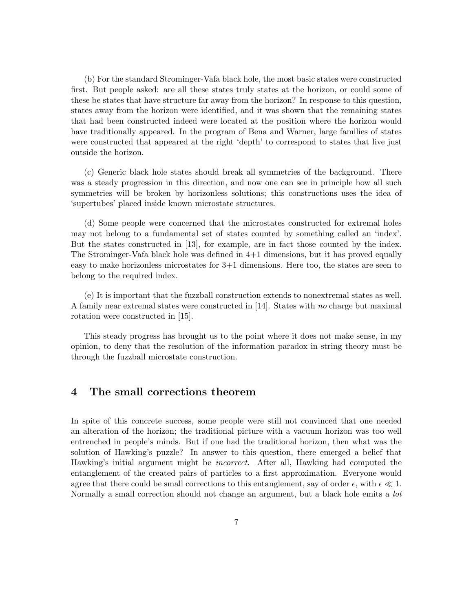(b) For the standard Strominger-Vafa black hole, the most basic states were constructed first. But people asked: are all these states truly states at the horizon, or could some of these be states that have structure far away from the horizon? In response to this question, states away from the horizon were identified, and it was shown that the remaining states that had been constructed indeed were located at the position where the horizon would have traditionally appeared. In the program of Bena and Warner, large families of states were constructed that appeared at the right 'depth' to correspond to states that live just outside the horizon.

(c) Generic black hole states should break all symmetries of the background. There was a steady progression in this direction, and now one can see in principle how all such symmetries will be broken by horizonless solutions; this constructions uses the idea of 'supertubes' placed inside known microstate structures.

(d) Some people were concerned that the microstates constructed for extremal holes may not belong to a fundamental set of states counted by something called an 'index'. But the states constructed in [13], for example, are in fact those counted by the index. The Strominger-Vafa black hole was defined in 4+1 dimensions, but it has proved equally easy to make horizonless microstates for 3+1 dimensions. Here too, the states are seen to belong to the required index.

(e) It is important that the fuzzball construction extends to nonextremal states as well. A family near extremal states were constructed in [14]. States with no charge but maximal rotation were constructed in [15].

This steady progress has brought us to the point where it does not make sense, in my opinion, to deny that the resolution of the information paradox in string theory must be through the fuzzball microstate construction.

## 4 The small corrections theorem

In spite of this concrete success, some people were still not convinced that one needed an alteration of the horizon; the traditional picture with a vacuum horizon was too well entrenched in people's minds. But if one had the traditional horizon, then what was the solution of Hawking's puzzle? In answer to this question, there emerged a belief that Hawking's initial argument might be incorrect. After all, Hawking had computed the entanglement of the created pairs of particles to a first approximation. Everyone would agree that there could be small corrections to this entanglement, say of order  $\epsilon$ , with  $\epsilon \ll 1$ . Normally a small correction should not change an argument, but a black hole emits a *lot*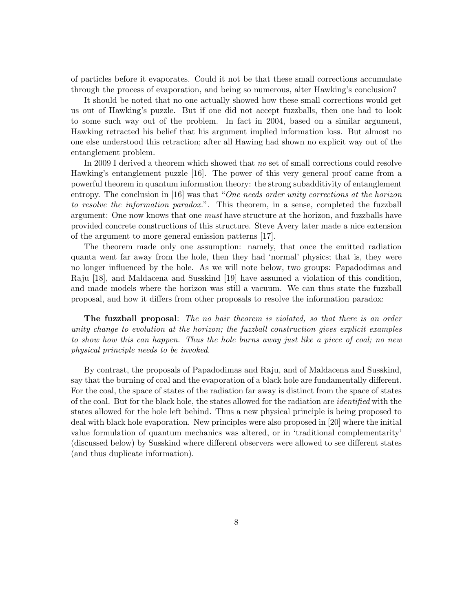of particles before it evaporates. Could it not be that these small corrections accumulate through the process of evaporation, and being so numerous, alter Hawking's conclusion?

It should be noted that no one actually showed how these small corrections would get us out of Hawking's puzzle. But if one did not accept fuzzballs, then one had to look to some such way out of the problem. In fact in 2004, based on a similar argument, Hawking retracted his belief that his argument implied information loss. But almost no one else understood this retraction; after all Hawing had shown no explicit way out of the entanglement problem.

In 2009 I derived a theorem which showed that no set of small corrections could resolve Hawking's entanglement puzzle [16]. The power of this very general proof came from a powerful theorem in quantum information theory: the strong subadditivity of entanglement entropy. The conclusion in [16] was that "One needs order unity corrections at the horizon to resolve the information paradox.". This theorem, in a sense, completed the fuzzball argument: One now knows that one *must* have structure at the horizon, and fuzzballs have provided concrete constructions of this structure. Steve Avery later made a nice extension of the argument to more general emission patterns [17].

The theorem made only one assumption: namely, that once the emitted radiation quanta went far away from the hole, then they had 'normal' physics; that is, they were no longer influenced by the hole. As we will note below, two groups: Papadodimas and Raju [18], and Maldacena and Susskind [19] have assumed a violation of this condition, and made models where the horizon was still a vacuum. We can thus state the fuzzball proposal, and how it differs from other proposals to resolve the information paradox:

The fuzzball proposal: The no hair theorem is violated, so that there is an order unity change to evolution at the horizon; the fuzzball construction gives explicit examples to show how this can happen. Thus the hole burns away just like a piece of coal; no new physical principle needs to be invoked.

By contrast, the proposals of Papadodimas and Raju, and of Maldacena and Susskind, say that the burning of coal and the evaporation of a black hole are fundamentally different. For the coal, the space of states of the radiation far away is distinct from the space of states of the coal. But for the black hole, the states allowed for the radiation are identified with the states allowed for the hole left behind. Thus a new physical principle is being proposed to deal with black hole evaporation. New principles were also proposed in [20] where the initial value formulation of quantum mechanics was altered, or in 'traditional complementarity' (discussed below) by Susskind where different observers were allowed to see different states (and thus duplicate information).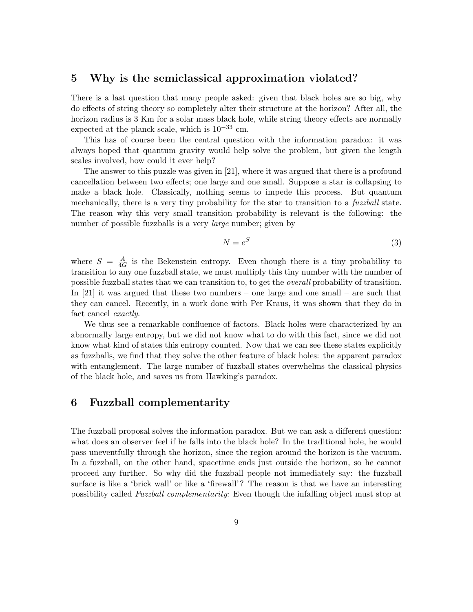## 5 Why is the semiclassical approximation violated?

There is a last question that many people asked: given that black holes are so big, why do effects of string theory so completely alter their structure at the horizon? After all, the horizon radius is 3 Km for a solar mass black hole, while string theory effects are normally expected at the planck scale, which is  $10^{-33}$  cm.

This has of course been the central question with the information paradox: it was always hoped that quantum gravity would help solve the problem, but given the length scales involved, how could it ever help?

The answer to this puzzle was given in [21], where it was argued that there is a profound cancellation between two effects; one large and one small. Suppose a star is collapsing to make a black hole. Classically, nothing seems to impede this process. But quantum mechanically, there is a very tiny probability for the star to transition to a *fuzzball* state. The reason why this very small transition probability is relevant is the following: the number of possible fuzzballs is a very *large* number; given by

$$
N = e^S \tag{3}
$$

where  $S = \frac{A}{4C}$  $\frac{A}{4G}$  is the Bekenstein entropy. Even though there is a tiny probability to transition to any one fuzzball state, we must multiply this tiny number with the number of possible fuzzball states that we can transition to, to get the overall probability of transition. In [21] it was argued that these two numbers – one large and one small – are such that they can cancel. Recently, in a work done with Per Kraus, it was shown that they do in fact cancel exactly.

We thus see a remarkable confluence of factors. Black holes were characterized by an abnormally large entropy, but we did not know what to do with this fact, since we did not know what kind of states this entropy counted. Now that we can see these states explicitly as fuzzballs, we find that they solve the other feature of black holes: the apparent paradox with entanglement. The large number of fuzzball states overwhelms the classical physics of the black hole, and saves us from Hawking's paradox.

## 6 Fuzzball complementarity

The fuzzball proposal solves the information paradox. But we can ask a different question: what does an observer feel if he falls into the black hole? In the traditional hole, he would pass uneventfully through the horizon, since the region around the horizon is the vacuum. In a fuzzball, on the other hand, spacetime ends just outside the horizon, so he cannot proceed any further. So why did the fuzzball people not immediately say: the fuzzball surface is like a 'brick wall' or like a 'firewall'? The reason is that we have an interesting possibility called Fuzzball complementarity: Even though the infalling object must stop at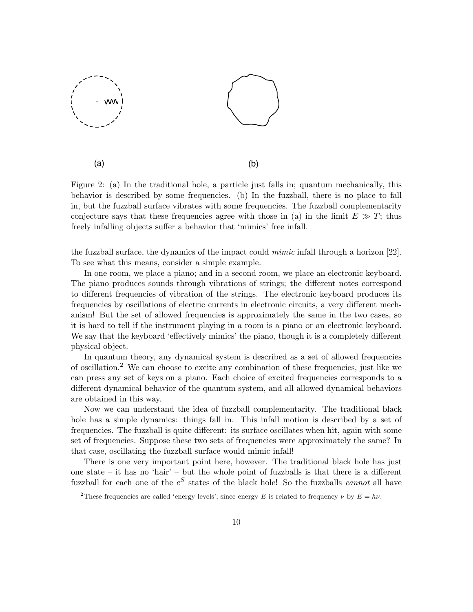

Figure 2: (a) In the traditional hole, a particle just falls in; quantum mechanically, this behavior is described by some frequencies. (b) In the fuzzball, there is no place to fall in, but the fuzzball surface vibrates with some frequencies. The fuzzball complementarity conjecture says that these frequencies agree with those in (a) in the limit  $E \gg T$ ; thus freely infalling objects suffer a behavior that 'mimics' free infall.

the fuzzball surface, the dynamics of the impact could mimic infall through a horizon [22]. To see what this means, consider a simple example.

In one room, we place a piano; and in a second room, we place an electronic keyboard. The piano produces sounds through vibrations of strings; the different notes correspond to different frequencies of vibration of the strings. The electronic keyboard produces its frequencies by oscillations of electric currents in electronic circuits, a very different mechanism! But the set of allowed frequencies is approximately the same in the two cases, so it is hard to tell if the instrument playing in a room is a piano or an electronic keyboard. We say that the keyboard 'effectively mimics' the piano, though it is a completely different physical object.

In quantum theory, any dynamical system is described as a set of allowed frequencies of oscillation.<sup>2</sup> We can choose to excite any combination of these frequencies, just like we can press any set of keys on a piano. Each choice of excited frequencies corresponds to a different dynamical behavior of the quantum system, and all allowed dynamical behaviors are obtained in this way.

Now we can understand the idea of fuzzball complementarity. The traditional black hole has a simple dynamics: things fall in. This infall motion is described by a set of frequencies. The fuzzball is quite different: its surface oscillates when hit, again with some set of frequencies. Suppose these two sets of frequencies were approximately the same? In that case, oscillating the fuzzball surface would mimic infall!

There is one very important point here, however. The traditional black hole has just one state – it has no 'hair' – but the whole point of fuzzballs is that there is a different fuzzball for each one of the  $e^S$  states of the black hole! So the fuzzballs *cannot* all have

<sup>&</sup>lt;sup>2</sup>These frequencies are called 'energy levels', since energy E is related to frequency  $\nu$  by  $E = h\nu$ .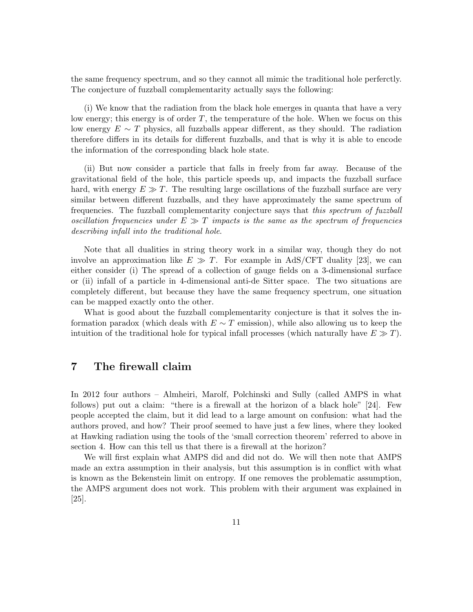the same frequency spectrum, and so they cannot all mimic the traditional hole perferctly. The conjecture of fuzzball complementarity actually says the following:

(i) We know that the radiation from the black hole emerges in quanta that have a very low energy; this energy is of order  $T$ , the temperature of the hole. When we focus on this low energy  $E \sim T$  physics, all fuzzballs appear different, as they should. The radiation therefore differs in its details for different fuzzballs, and that is why it is able to encode the information of the corresponding black hole state.

(ii) But now consider a particle that falls in freely from far away. Because of the gravitational field of the hole, this particle speeds up, and impacts the fuzzball surface hard, with energy  $E \gg T$ . The resulting large oscillations of the fuzzball surface are very similar between different fuzzballs, and they have approximately the same spectrum of frequencies. The fuzzball complementarity conjecture says that this spectrum of fuzzball oscillation frequencies under  $E \gg T$  impacts is the same as the spectrum of frequencies describing infall into the traditional hole.

Note that all dualities in string theory work in a similar way, though they do not involve an approximation like  $E \gg T$ . For example in AdS/CFT duality [23], we can either consider (i) The spread of a collection of gauge fields on a 3-dimensional surface or (ii) infall of a particle in 4-dimensional anti-de Sitter space. The two situations are completely different, but because they have the same frequency spectrum, one situation can be mapped exactly onto the other.

What is good about the fuzzball complementarity conjecture is that it solves the information paradox (which deals with  $E \sim T$  emission), while also allowing us to keep the intuition of the traditional hole for typical infall processes (which naturally have  $E \gg T$ ).

# 7 The firewall claim

In 2012 four authors – Almheiri, Marolf, Polchinski and Sully (called AMPS in what follows) put out a claim: "there is a firewall at the horizon of a black hole" [24]. Few people accepted the claim, but it did lead to a large amount on confusion: what had the authors proved, and how? Their proof seemed to have just a few lines, where they looked at Hawking radiation using the tools of the 'small correction theorem' referred to above in section 4. How can this tell us that there is a firewall at the horizon?

We will first explain what AMPS did and did not do. We will then note that AMPS made an extra assumption in their analysis, but this assumption is in conflict with what is known as the Bekenstein limit on entropy. If one removes the problematic assumption, the AMPS argument does not work. This problem with their argument was explained in  $|25|$ .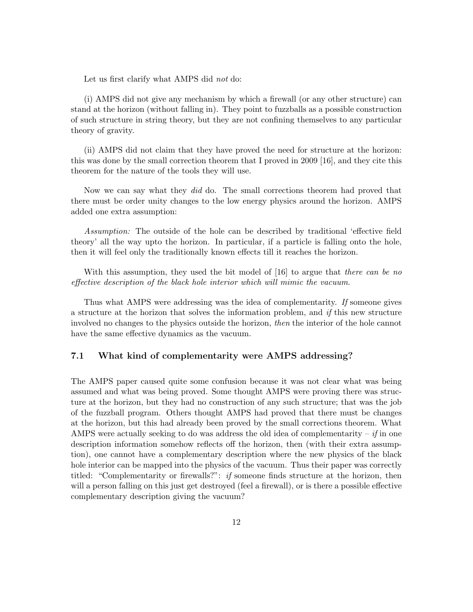Let us first clarify what AMPS did not do:

(i) AMPS did not give any mechanism by which a firewall (or any other structure) can stand at the horizon (without falling in). They point to fuzzballs as a possible construction of such structure in string theory, but they are not confining themselves to any particular theory of gravity.

(ii) AMPS did not claim that they have proved the need for structure at the horizon: this was done by the small correction theorem that I proved in 2009 [16], and they cite this theorem for the nature of the tools they will use.

Now we can say what they *did* do. The small corrections theorem had proved that there must be order unity changes to the low energy physics around the horizon. AMPS added one extra assumption:

Assumption: The outside of the hole can be described by traditional 'effective field theory' all the way upto the horizon. In particular, if a particle is falling onto the hole, then it will feel only the traditionally known effects till it reaches the horizon.

With this assumption, they used the bit model of [16] to argue that there can be no effective description of the black hole interior which will mimic the vacuum.

Thus what AMPS were addressing was the idea of complementarity. If someone gives a structure at the horizon that solves the information problem, and  $if$  this new structure involved no changes to the physics outside the horizon, then the interior of the hole cannot have the same effective dynamics as the vacuum.

#### 7.1 What kind of complementarity were AMPS addressing?

The AMPS paper caused quite some confusion because it was not clear what was being assumed and what was being proved. Some thought AMPS were proving there was structure at the horizon, but they had no construction of any such structure; that was the job of the fuzzball program. Others thought AMPS had proved that there must be changes at the horizon, but this had already been proved by the small corrections theorem. What AMPS were actually seeking to do was address the old idea of complementarity – if in one description information somehow reflects off the horizon, then (with their extra assumption), one cannot have a complementary description where the new physics of the black hole interior can be mapped into the physics of the vacuum. Thus their paper was correctly titled: "Complementarity or firewalls?": if someone finds structure at the horizon, then will a person falling on this just get destroyed (feel a firewall), or is there a possible effective complementary description giving the vacuum?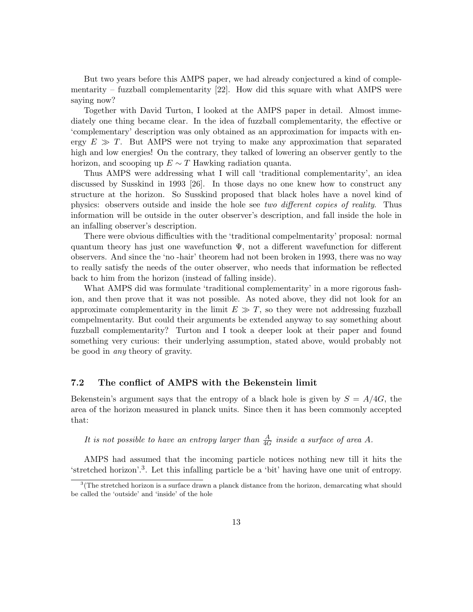But two years before this AMPS paper, we had already conjectured a kind of complementarity – fuzzball complementarity  $[22]$ . How did this square with what AMPS were saying now?

Together with David Turton, I looked at the AMPS paper in detail. Almost immediately one thing became clear. In the idea of fuzzball complementarity, the effective or 'complementary' description was only obtained as an approximation for impacts with energy  $E \gg T$ . But AMPS were not trying to make any approximation that separated high and low energies! On the contrary, they talked of lowering an observer gently to the horizon, and scooping up  $E \sim T$  Hawking radiation quanta.

Thus AMPS were addressing what I will call 'traditional complementarity', an idea discussed by Susskind in 1993 [26]. In those days no one knew how to construct any structure at the horizon. So Susskind proposed that black holes have a novel kind of physics: observers outside and inside the hole see two different copies of reality. Thus information will be outside in the outer observer's description, and fall inside the hole in an infalling observer's description.

There were obvious difficulties with the 'traditional compelmentarity' proposal: normal quantum theory has just one wavefunction  $\Psi$ , not a different wavefunction for different observers. And since the 'no -hair' theorem had not been broken in 1993, there was no way to really satisfy the needs of the outer observer, who needs that information be reflected back to him from the horizon (instead of falling inside).

What AMPS did was formulate 'traditional complementarity' in a more rigorous fashion, and then prove that it was not possible. As noted above, they did not look for an approximate complementarity in the limit  $E \gg T$ , so they were not addressing fuzzball compelmentarity. But could their arguments be extended anyway to say something about fuzzball complementarity? Turton and I took a deeper look at their paper and found something very curious: their underlying assumption, stated above, would probably not be good in any theory of gravity.

### 7.2 The conflict of AMPS with the Bekenstein limit

Bekenstein's argument says that the entropy of a black hole is given by  $S = A/4G$ , the area of the horizon measured in planck units. Since then it has been commonly accepted that:

It is not possible to have an entropy larger than  $\frac{A}{4G}$  inside a surface of area A.

AMPS had assumed that the incoming particle notices nothing new till it hits the 'stretched horizon'.<sup>3</sup> . Let this infalling particle be a 'bit' having have one unit of entropy.

<sup>&</sup>lt;sup>3</sup>(The stretched horizon is a surface drawn a planck distance from the horizon, demarcating what should be called the 'outside' and 'inside' of the hole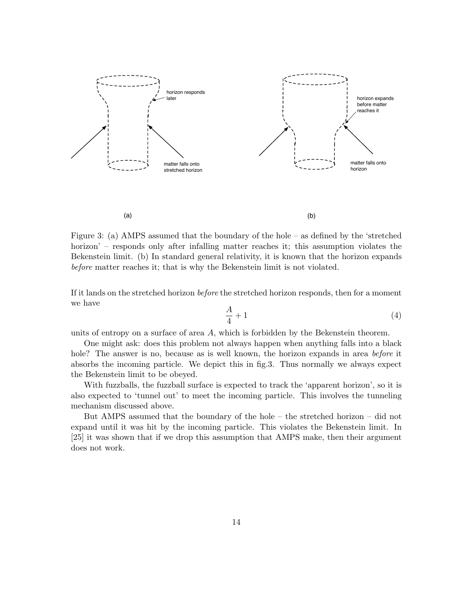

Figure 3: (a) AMPS assumed that the boundary of the hole – as defined by the 'stretched horizon' – responds only after infalling matter reaches it; this assumption violates the Bekenstein limit. (b) In standard general relativity, it is known that the horizon expands before matter reaches it; that is why the Bekenstein limit is not violated.

If it lands on the stretched horizon before the stretched horizon responds, then for a moment we have

$$
\frac{A}{4} + 1\tag{4}
$$

units of entropy on a surface of area A, which is forbidden by the Bekenstein theorem.

One might ask: does this problem not always happen when anything falls into a black hole? The answer is no, because as is well known, the horizon expands in area before it absorbs the incoming particle. We depict this in fig.3. Thus normally we always expect the Bekenstein limit to be obeyed.

With fuzzballs, the fuzzball surface is expected to track the 'apparent horizon', so it is also expected to 'tunnel out' to meet the incoming particle. This involves the tunneling mechanism discussed above.

But AMPS assumed that the boundary of the hole – the stretched horizon – did not expand until it was hit by the incoming particle. This violates the Bekenstein limit. In [25] it was shown that if we drop this assumption that AMPS make, then their argument does not work.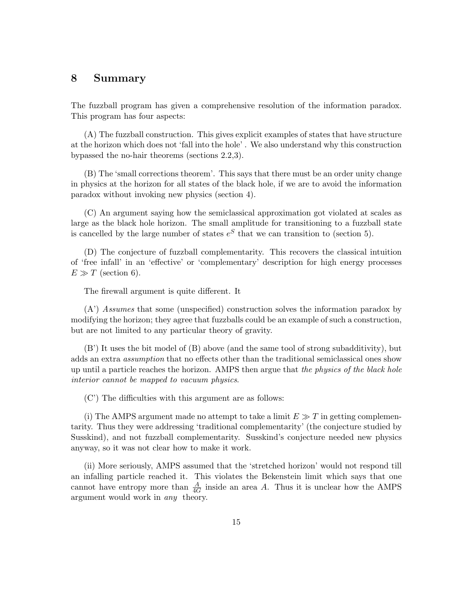## 8 Summary

The fuzzball program has given a comprehensive resolution of the information paradox. This program has four aspects:

(A) The fuzzball construction. This gives explicit examples of states that have structure at the horizon which does not 'fall into the hole' . We also understand why this construction bypassed the no-hair theorems (sections 2.2,3).

(B) The 'small corrections theorem'. This says that there must be an order unity change in physics at the horizon for all states of the black hole, if we are to avoid the information paradox without invoking new physics (section 4).

(C) An argument saying how the semiclassical approximation got violated at scales as large as the black hole horizon. The small amplitude for transitioning to a fuzzball state is cancelled by the large number of states  $e^S$  that we can transition to (section 5).

(D) The conjecture of fuzzball complementarity. This recovers the classical intuition of 'free infall' in an 'effective' or 'complementary' description for high energy processes  $E \gg T$  (section 6).

The firewall argument is quite different. It

(A') Assumes that some (unspecified) construction solves the information paradox by modifying the horizon; they agree that fuzzballs could be an example of such a construction, but are not limited to any particular theory of gravity.

(B') It uses the bit model of (B) above (and the same tool of strong subadditivity), but adds an extra assumption that no effects other than the traditional semiclassical ones show up until a particle reaches the horizon. AMPS then argue that the physics of the black hole interior cannot be mapped to vacuum physics.

(C') The difficulties with this argument are as follows:

(i) The AMPS argument made no attempt to take a limit  $E \gg T$  in getting complementarity. Thus they were addressing 'traditional complementarity' (the conjecture studied by Susskind), and not fuzzball complementarity. Susskind's conjecture needed new physics anyway, so it was not clear how to make it work.

(ii) More seriously, AMPS assumed that the 'stretched horizon' would not respond till an infalling particle reached it. This violates the Bekenstein limit which says that one cannot have entropy more than  $\frac{A}{4G}$  inside an area A. Thus it is unclear how the AMPS argument would work in any theory.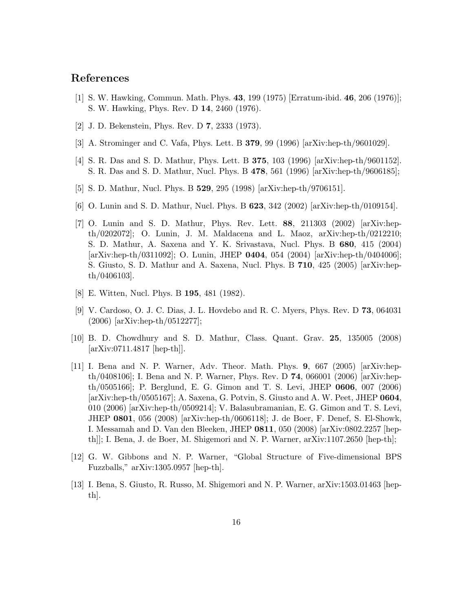## References

- [1] S. W. Hawking, Commun. Math. Phys. 43, 199 (1975) [Erratum-ibid. 46, 206 (1976)]; S. W. Hawking, Phys. Rev. D 14, 2460 (1976).
- [2] J. D. Bekenstein, Phys. Rev. D 7, 2333 (1973).
- [3] A. Strominger and C. Vafa, Phys. Lett. B 379, 99 (1996) [arXiv:hep-th/9601029].
- [4] S. R. Das and S. D. Mathur, Phys. Lett. B 375, 103 (1996) [arXiv:hep-th/9601152]. S. R. Das and S. D. Mathur, Nucl. Phys. B 478, 561 (1996) [arXiv:hep-th/9606185];
- [5] S. D. Mathur, Nucl. Phys. B 529, 295 (1998) [arXiv:hep-th/9706151].
- [6] O. Lunin and S. D. Mathur, Nucl. Phys. B 623, 342 (2002) [arXiv:hep-th/0109154].
- [7] O. Lunin and S. D. Mathur, Phys. Rev. Lett. 88, 211303 (2002) [arXiv:hepth/0202072]; O. Lunin, J. M. Maldacena and L. Maoz, arXiv:hep-th/0212210; S. D. Mathur, A. Saxena and Y. K. Srivastava, Nucl. Phys. B 680, 415 (2004) [arXiv:hep-th/0311092]; O. Lunin, JHEP 0404, 054 (2004) [arXiv:hep-th/0404006]; S. Giusto, S. D. Mathur and A. Saxena, Nucl. Phys. B 710, 425 (2005) [arXiv:hepth/0406103].
- [8] E. Witten, Nucl. Phys. B 195, 481 (1982).
- [9] V. Cardoso, O. J. C. Dias, J. L. Hovdebo and R. C. Myers, Phys. Rev. D 73, 064031 (2006) [arXiv:hep-th/0512277];
- [10] B. D. Chowdhury and S. D. Mathur, Class. Quant. Grav. 25, 135005 (2008) [arXiv:0711.4817 [hep-th]].
- [11] I. Bena and N. P. Warner, Adv. Theor. Math. Phys. 9, 667 (2005) [arXiv:hepth/0408106]; I. Bena and N. P. Warner, Phys. Rev. D 74, 066001 (2006) [arXiv:hepth/0505166]; P. Berglund, E. G. Gimon and T. S. Levi, JHEP 0606, 007 (2006) [arXiv:hep-th/0505167]; A. Saxena, G. Potvin, S. Giusto and A. W. Peet, JHEP 0604, 010 (2006) [arXiv:hep-th/0509214]; V. Balasubramanian, E. G. Gimon and T. S. Levi, JHEP 0801, 056 (2008) [arXiv:hep-th/0606118]; J. de Boer, F. Denef, S. El-Showk, I. Messamah and D. Van den Bleeken, JHEP 0811, 050 (2008) [arXiv:0802.2257 [hepth]]; I. Bena, J. de Boer, M. Shigemori and N. P. Warner, arXiv:1107.2650 [hep-th];
- [12] G. W. Gibbons and N. P. Warner, "Global Structure of Five-dimensional BPS Fuzzballs," arXiv:1305.0957 [hep-th].
- [13] I. Bena, S. Giusto, R. Russo, M. Shigemori and N. P. Warner, arXiv:1503.01463 [hepth].